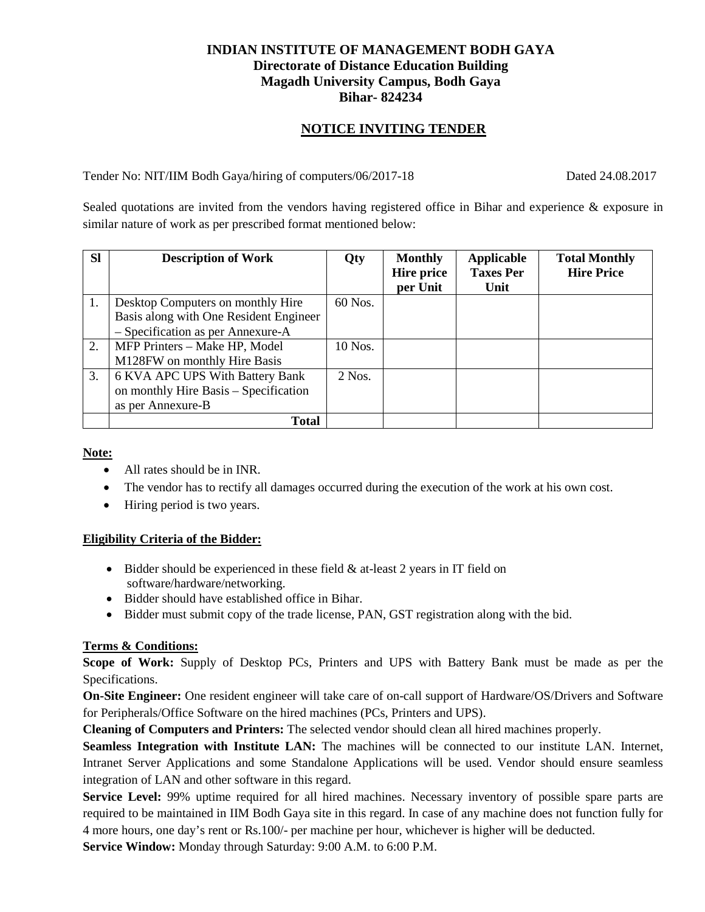### **INDIAN INSTITUTE OF MANAGEMENT BODH GAYA Directorate of Distance Education Building Magadh University Campus, Bodh Gaya Bihar- 824234**

### **NOTICE INVITING TENDER**

Tender No: NIT/IIM Bodh Gaya/hiring of computers/06/2017-18 Dated 24.08.2017

Sealed quotations are invited from the vendors having registered office in Bihar and experience & exposure in similar nature of work as per prescribed format mentioned below:

| <b>SI</b> | <b>Description of Work</b>             | Qty      | <b>Monthly</b>    | Applicable       | <b>Total Monthly</b> |
|-----------|----------------------------------------|----------|-------------------|------------------|----------------------|
|           |                                        |          | <b>Hire price</b> | <b>Taxes Per</b> | <b>Hire Price</b>    |
|           |                                        |          | per Unit          | Unit             |                      |
| 1.        | Desktop Computers on monthly Hire      | 60 Nos.  |                   |                  |                      |
|           | Basis along with One Resident Engineer |          |                   |                  |                      |
|           | - Specification as per Annexure-A      |          |                   |                  |                      |
| 2.        | MFP Printers – Make HP, Model          | 10 Nos.  |                   |                  |                      |
|           | M128FW on monthly Hire Basis           |          |                   |                  |                      |
| 3.        | 6 KVA APC UPS With Battery Bank        | $2$ Nos. |                   |                  |                      |
|           | on monthly Hire Basis – Specification  |          |                   |                  |                      |
|           | as per Annexure-B                      |          |                   |                  |                      |
|           | <b>Total</b>                           |          |                   |                  |                      |

**Note:**

- All rates should be in INR.
- The vendor has to rectify all damages occurred during the execution of the work at his own cost.
- Hiring period is two years.

#### **Eligibility Criteria of the Bidder:**

- Bidder should be experienced in these field & at-least 2 years in IT field on software/hardware/networking.
- Bidder should have established office in Bihar.
- Bidder must submit copy of the trade license, PAN, GST registration along with the bid.

### **Terms & Conditions:**

**Scope of Work:** Supply of Desktop PCs, Printers and UPS with Battery Bank must be made as per the Specifications.

**On-Site Engineer:** One resident engineer will take care of on-call support of Hardware/OS/Drivers and Software for Peripherals/Office Software on the hired machines (PCs, Printers and UPS).

**Cleaning of Computers and Printers:** The selected vendor should clean all hired machines properly.

**Seamless Integration with Institute LAN:** The machines will be connected to our institute LAN. Internet, Intranet Server Applications and some Standalone Applications will be used. Vendor should ensure seamless integration of LAN and other software in this regard.

**Service Level:** 99% uptime required for all hired machines. Necessary inventory of possible spare parts are required to be maintained in IIM Bodh Gaya site in this regard. In case of any machine does not function fully for 4 more hours, one day's rent or Rs.100/- per machine per hour, whichever is higher will be deducted.

**Service Window:** Monday through Saturday: 9:00 A.M. to 6:00 P.M.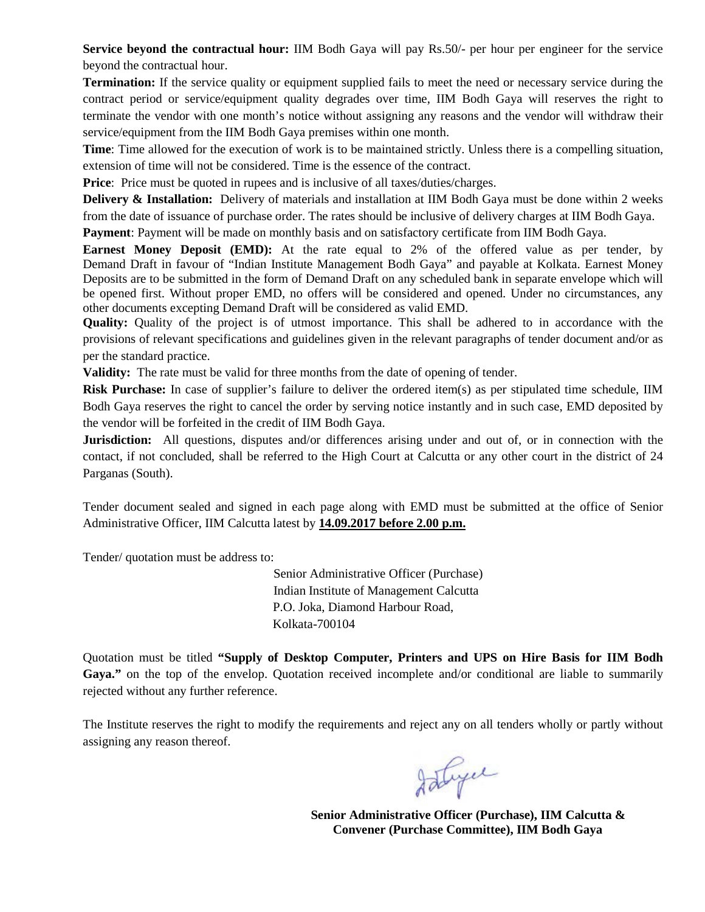**Service beyond the contractual hour:** IIM Bodh Gaya will pay Rs.50/- per hour per engineer for the service beyond the contractual hour.

**Termination:** If the service quality or equipment supplied fails to meet the need or necessary service during the contract period or service/equipment quality degrades over time, IIM Bodh Gaya will reserves the right to terminate the vendor with one month's notice without assigning any reasons and the vendor will withdraw their service/equipment from the IIM Bodh Gaya premises within one month.

**Time**: Time allowed for the execution of work is to be maintained strictly. Unless there is a compelling situation, extension of time will not be considered. Time is the essence of the contract.

**Price**: Price must be quoted in rupees and is inclusive of all taxes/duties/charges.

**Delivery & Installation:** Delivery of materials and installation at IIM Bodh Gaya must be done within 2 weeks from the date of issuance of purchase order. The rates should be inclusive of delivery charges at IIM Bodh Gaya.

**Payment**: Payment will be made on monthly basis and on satisfactory certificate from IIM Bodh Gaya.

**Earnest Money Deposit (EMD):** At the rate equal to 2% of the offered value as per tender, by Demand Draft in favour of "Indian Institute Management Bodh Gaya" and payable at Kolkata. Earnest Money Deposits are to be submitted in the form of Demand Draft on any scheduled bank in separate envelope which will be opened first. Without proper EMD, no offers will be considered and opened. Under no circumstances, any other documents excepting Demand Draft will be considered as valid EMD.

**Quality:** Quality of the project is of utmost importance. This shall be adhered to in accordance with the provisions of relevant specifications and guidelines given in the relevant paragraphs of tender document and/or as per the standard practice.

**Validity:** The rate must be valid for three months from the date of opening of tender.

**Risk Purchase:** In case of supplier's failure to deliver the ordered item(s) as per stipulated time schedule, IIM Bodh Gaya reserves the right to cancel the order by serving notice instantly and in such case, EMD deposited by the vendor will be forfeited in the credit of IIM Bodh Gaya.

**Jurisdiction:** All questions, disputes and/or differences arising under and out of, or in connection with the contact, if not concluded, shall be referred to the High Court at Calcutta or any other court in the district of 24 Parganas (South).

Tender document sealed and signed in each page along with EMD must be submitted at the office of Senior Administrative Officer, IIM Calcutta latest by **14.09.2017 before 2.00 p.m.**

Tender/ quotation must be address to:

 Senior Administrative Officer (Purchase) Indian Institute of Management Calcutta P.O. Joka, Diamond Harbour Road, Kolkata-700104

Quotation must be titled **"Supply of Desktop Computer, Printers and UPS on Hire Basis for IIM Bodh**  Gaya." on the top of the envelop. Quotation received incomplete and/or conditional are liable to summarily rejected without any further reference.

The Institute reserves the right to modify the requirements and reject any on all tenders wholly or partly without assigning any reason thereof.

Istyce

 **Senior Administrative Officer (Purchase), IIM Calcutta & Convener (Purchase Committee), IIM Bodh Gaya**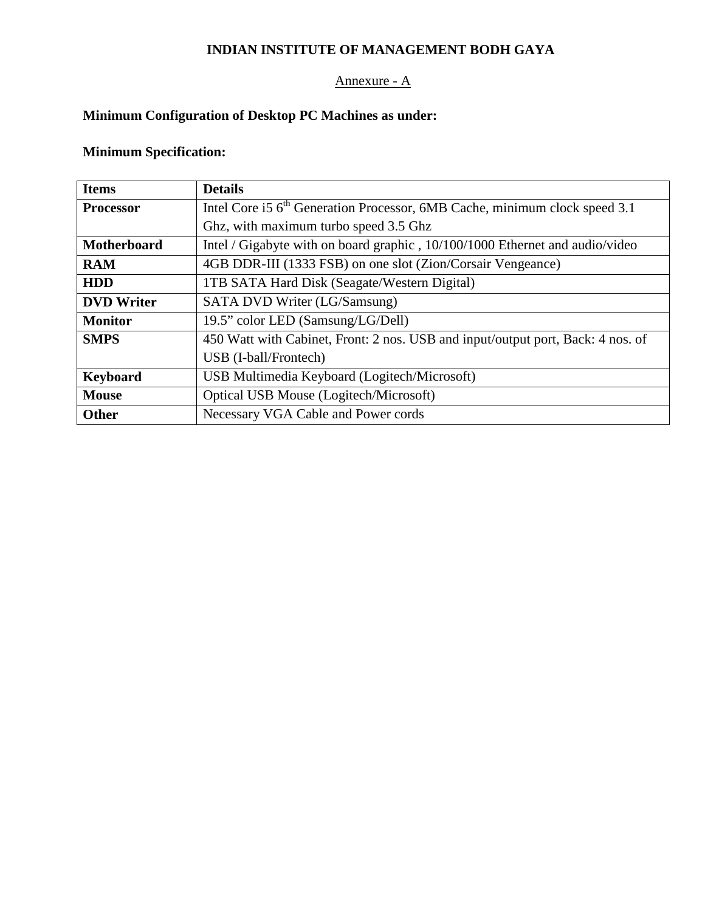# **INDIAN INSTITUTE OF MANAGEMENT BODH GAYA**

## Annexure - A

# **Minimum Configuration of Desktop PC Machines as under:**

# **Minimum Specification:**

| <b>Items</b>       | <b>Details</b>                                                                         |
|--------------------|----------------------------------------------------------------------------------------|
| <b>Processor</b>   | Intel Core i5 6 <sup>th</sup> Generation Processor, 6MB Cache, minimum clock speed 3.1 |
|                    | Ghz, with maximum turbo speed 3.5 Ghz                                                  |
| <b>Motherboard</b> | Intel / Gigabyte with on board graphic, 10/100/1000 Ethernet and audio/video           |
| <b>RAM</b>         | 4GB DDR-III (1333 FSB) on one slot (Zion/Corsair Vengeance)                            |
| <b>HDD</b>         | 1TB SATA Hard Disk (Seagate/Western Digital)                                           |
| <b>DVD</b> Writer  | SATA DVD Writer (LG/Samsung)                                                           |
| <b>Monitor</b>     | 19.5" color LED (Samsung/LG/Dell)                                                      |
| <b>SMPS</b>        | 450 Watt with Cabinet, Front: 2 nos. USB and input/output port, Back: 4 nos. of        |
|                    | USB (I-ball/Frontech)                                                                  |
| <b>Keyboard</b>    | USB Multimedia Keyboard (Logitech/Microsoft)                                           |
| <b>Mouse</b>       | Optical USB Mouse (Logitech/Microsoft)                                                 |
| <b>Other</b>       | Necessary VGA Cable and Power cords                                                    |